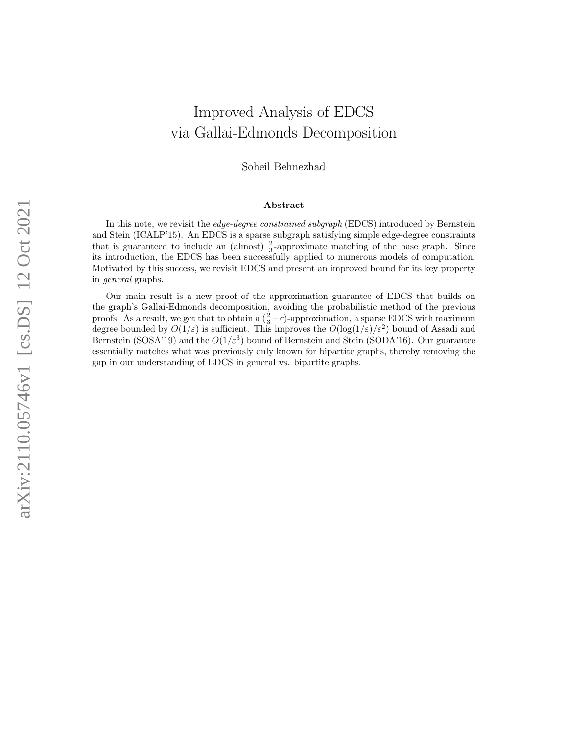# Improved Analysis of EDCS via Gallai-Edmonds Decomposition

Soheil Behnezhad

#### Abstract

In this note, we revisit the edge-degree constrained subgraph (EDCS) introduced by Bernstein and Stein (ICALP'15). An EDCS is a sparse subgraph satisfying simple edge-degree constraints that is guaranteed to include an (almost)  $\frac{2}{3}$ -approximate matching of the base graph. Since its introduction, the EDCS has been successfully applied to numerous models of computation. Motivated by this success, we revisit EDCS and present an improved bound for its key property in general graphs.

Our main result is a new proof of the approximation guarantee of EDCS that builds on the graph's Gallai-Edmonds decomposition, avoiding the probabilistic method of the previous proofs. As a result, we get that to obtain a  $(\frac{2}{3} - \varepsilon)$ -approximation, a sparse EDCS with maximum degree bounded by  $O(1/\varepsilon)$  is sufficient. This improves the  $O(\log(1/\varepsilon)/\varepsilon^2)$  bound of Assadi and Bernstein (SOSA'19) and the  $O(1/\varepsilon^3)$  bound of Bernstein and Stein (SODA'16). Our guarantee essentially matches what was previously only known for bipartite graphs, thereby removing the gap in our understanding of EDCS in general vs. bipartite graphs.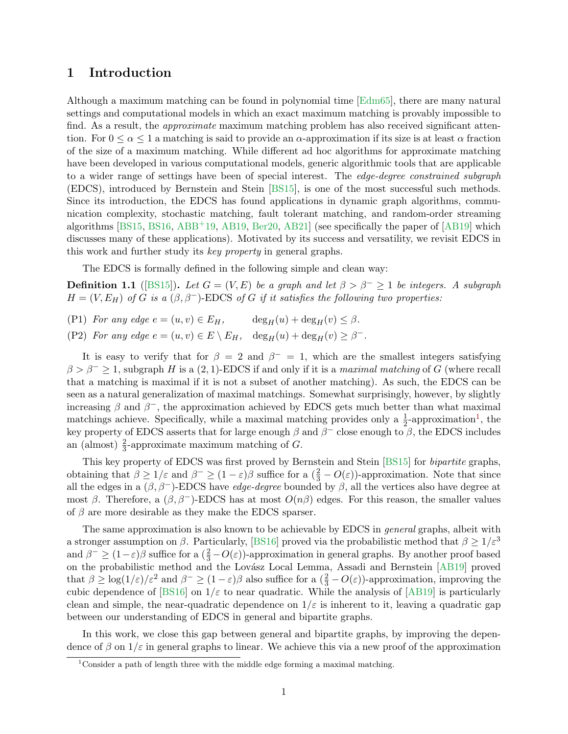### 1 Introduction

Although a maximum matching can be found in polynomial time [\[Edm65\]](#page-9-0), there are many natural settings and computational models in which an exact maximum matching is provably impossible to find. As a result, the *approximate* maximum matching problem has also received significant attention. For  $0 \le \alpha \le 1$  a matching is said to provide an  $\alpha$ -approximation if its size is at least  $\alpha$  fraction of the size of a maximum matching. While different ad hoc algorithms for approximate matching have been developed in various computational models, generic algorithmic tools that are applicable to a wider range of settings have been of special interest. The *edge-degree constrained subgraph* (EDCS), introduced by Bernstein and Stein [\[BS15\]](#page-9-1), is one of the most successful such methods. Since its introduction, the EDCS has found applications in dynamic graph algorithms, communication complexity, stochastic matching, fault tolerant matching, and random-order streaming algorithms [\[BS15,](#page-9-1) [BS16,](#page-9-2) [ABB](#page-9-3)+19, [AB19,](#page-9-4) [Ber20,](#page-9-5) [AB21\]](#page-9-6) (see specifically the paper of [\[AB19\]](#page-9-4) which discusses many of these applications). Motivated by its success and versatility, we revisit EDCS in this work and further study its key property in general graphs.

The EDCS is formally defined in the following simple and clean way:

**Definition 1.1** ([\[BS15\]](#page-9-1)). Let  $G = (V, E)$  be a graph and let  $\beta > \beta^- \ge 1$  be integers. A subgraph  $H = (V, E_H)$  of G is a  $(\beta, \beta^-)$ -EDCS of G if it satisfies the following two properties:

(P1) For any edge  $e = (u, v) \in E_H$ ,  $\deg_H(u) + \deg_H(v) \leq \beta$ .

(P2) For any edge  $e = (u, v) \in E \setminus E_H$ ,  $\deg_H(u) + \deg_H(v) \ge \beta^-$ .

It is easy to verify that for  $\beta = 2$  and  $\beta^- = 1$ , which are the smallest integers satisfying  $\beta > \beta^- \geq 1$ , subgraph H is a  $(2, 1)$ -EDCS if and only if it is a maximal matching of G (where recall that a matching is maximal if it is not a subset of another matching). As such, the EDCS can be seen as a natural generalization of maximal matchings. Somewhat surprisingly, however, by slightly increasing  $\beta$  and  $\beta^-$ , the approximation achieved by EDCS gets much better than what maximal matchings achieve. Specifically, while a maximal matching provides only a  $\frac{1}{2}$  $\frac{1}{2}$  $\frac{1}{2}$ -approximation<sup>1</sup>, the key property of EDCS asserts that for large enough  $\beta$  and  $\beta^-$  close enough to  $\beta$ , the EDCS includes an (almost)  $\frac{2}{3}$ -approximate maximum matching of G.

This key property of EDCS was first proved by Bernstein and Stein [\[BS15\]](#page-9-1) for bipartite graphs, obtaining that  $\beta \ge 1/\varepsilon$  and  $\beta^- \ge (1-\varepsilon)\beta$  suffice for a  $(\frac{2}{3}-O(\varepsilon))$ -approximation. Note that since all the edges in a  $(\beta, \beta^-)$ -EDCS have *edge-degree* bounded by  $\beta$ , all the vertices also have degree at most β. Therefore, a  $(β, β<sup>-</sup>)$ -EDCS has at most  $O(nβ)$  edges. For this reason, the smaller values of  $\beta$  are more desirable as they make the EDCS sparser.

The same approximation is also known to be achievable by EDCS in *general* graphs, albeit with a stronger assumption on  $\beta$ . Particularly, [\[BS16\]](#page-9-2) proved via the probabilistic method that  $\beta \geq 1/\varepsilon^3$ and  $\beta^- \ge (1-\varepsilon)\beta$  suffice for a  $(\frac{2}{3}-O(\varepsilon))$ -approximation in general graphs. By another proof based on the probabilistic method and the Lovász Local Lemma, Assadi and Bernstein [\[AB19\]](#page-9-4) proved that  $\beta \geq \log(1/\varepsilon)/\varepsilon^2$  and  $\beta^- \geq (1-\varepsilon)\beta$  also suffice for a  $(\frac{2}{3}-O(\varepsilon))$ -approximation, improving the cubic dependence of [\[BS16\]](#page-9-2) on  $1/\varepsilon$  to near quadratic. While the analysis of [\[AB19\]](#page-9-4) is particularly clean and simple, the near-quadratic dependence on  $1/\varepsilon$  is inherent to it, leaving a quadratic gap between our understanding of EDCS in general and bipartite graphs.

In this work, we close this gap between general and bipartite graphs, by improving the dependence of  $\beta$  on  $1/\varepsilon$  in general graphs to linear. We achieve this via a new proof of the approximation

<span id="page-1-0"></span><sup>&</sup>lt;sup>1</sup>Consider a path of length three with the middle edge forming a maximal matching.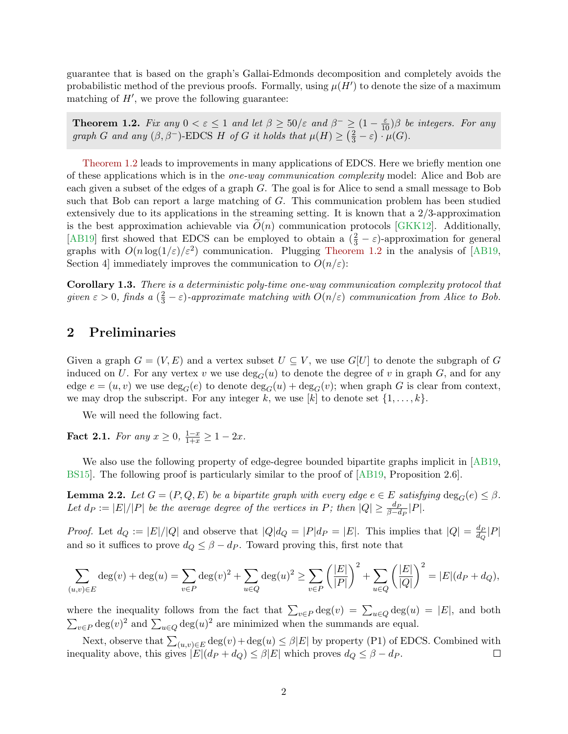guarantee that is based on the graph's Gallai-Edmonds decomposition and completely avoids the probabilistic method of the previous proofs. Formally, using  $\mu(H')$  to denote the size of a maximum matching of  $H'$ , we prove the following guarantee:

<span id="page-2-0"></span>**Theorem 1.2.** Fix any  $0 < \varepsilon \leq 1$  and let  $\beta \geq 50/\varepsilon$  and  $\beta^{-} \geq (1 - \frac{\varepsilon}{10})\beta$  be integers. For any graph G and any  $(\beta, \beta^-)$ -EDCS H of G it holds that  $\mu(H) \geq (\frac{2}{3} - \varepsilon) \cdot \mu(G)$ .

[Theorem 1.2](#page-2-0) leads to improvements in many applications of EDCS. Here we briefly mention one of these applications which is in the one-way communication complexity model: Alice and Bob are each given a subset of the edges of a graph G. The goal is for Alice to send a small message to Bob such that Bob can report a large matching of G. This communication problem has been studied extensively due to its applications in the streaming setting. It is known that a 2/3-approximation is the best approximation achievable via  $O(n)$  communication protocols [\[GKK12\]](#page-9-7). Additionally, [\[AB19\]](#page-9-4) first showed that EDCS can be employed to obtain a  $(\frac{2}{3} - \varepsilon)$ -approximation for general graphs with  $O(n \log(1/\varepsilon)/\varepsilon^2)$  communication. Plugging [Theorem 1.2](#page-2-0) in the analysis of [\[AB19,](#page-9-4) Section 4 immediately improves the communication to  $O(n/\varepsilon)$ :

Corollary 1.3. There is a deterministic poly-time one-way communication complexity protocol that given  $\varepsilon > 0$ , finds a  $(\frac{2}{3} - \varepsilon)$ -approximate matching with  $O(n/\varepsilon)$  communication from Alice to Bob.

#### 2 Preliminaries

Given a graph  $G = (V, E)$  and a vertex subset  $U \subseteq V$ , we use  $G[U]$  to denote the subgraph of G induced on U. For any vertex v we use  $\deg_G(u)$  to denote the degree of v in graph G, and for any edge  $e = (u, v)$  we use  $\deg_G(e)$  to denote  $\deg_G(u) + \deg_G(v)$ ; when graph G is clear from context, we may drop the subscript. For any integer k, we use  $[k]$  to denote set  $\{1, \ldots, k\}$ .

We will need the following fact.

<span id="page-2-2"></span>**Fact 2.1.** For any  $x \ge 0$ ,  $\frac{1-x}{1+x} \ge 1-2x$ .

We also use the following property of edge-degree bounded bipartite graphs implicit in [\[AB19,](#page-9-4)] [BS15\]](#page-9-1). The following proof is particularly similar to the proof of [\[AB19,](#page-9-4) Proposition 2.6].

<span id="page-2-1"></span>**Lemma 2.2.** Let  $G = (P, Q, E)$  be a bipartite graph with every edge  $e \in E$  satisfying  $\deg_G(e) \leq \beta$ . Let  $d_P := |E|/|P|$  be the average degree of the vertices in P; then  $|Q| \ge \frac{d_P}{\beta - d_P}|P|$ .

*Proof.* Let  $d_Q := |E|/|Q|$  and observe that  $|Q|d_Q = |P|d_P = |E|$ . This implies that  $|Q| = \frac{d_P}{d_Q}$  $\frac{d_P}{d_Q}|P|$ and so it suffices to prove  $d_Q \leq \beta - d_P$ . Toward proving this, first note that

$$
\sum_{(u,v)\in E} \deg(v) + \deg(u) = \sum_{v\in P} \deg(v)^2 + \sum_{u\in Q} \deg(u)^2 \ge \sum_{v\in P} \left(\frac{|E|}{|P|}\right)^2 + \sum_{u\in Q} \left(\frac{|E|}{|Q|}\right)^2 = |E|(d_P + d_Q),
$$

where the inequality follows from the fact that  $\sum_{v \in P} \deg(v) = \sum_{u \in Q} \deg(u) = |E|$ , and both  $\sum_{v \in P} \deg(v)^2$  and  $\sum_{u \in Q} \deg(u)^2$  are minimized when the summands are equal.

Next, observe that  $\sum_{(u,v)\in E} \deg(v) + \deg(u) \leq \beta |E|$  by property (P1) of EDCS. Combined with inequality above, this gives  $|E|(d_P + d_Q) \leq \beta |E|$  which proves  $d_Q \leq \beta - d_P$ .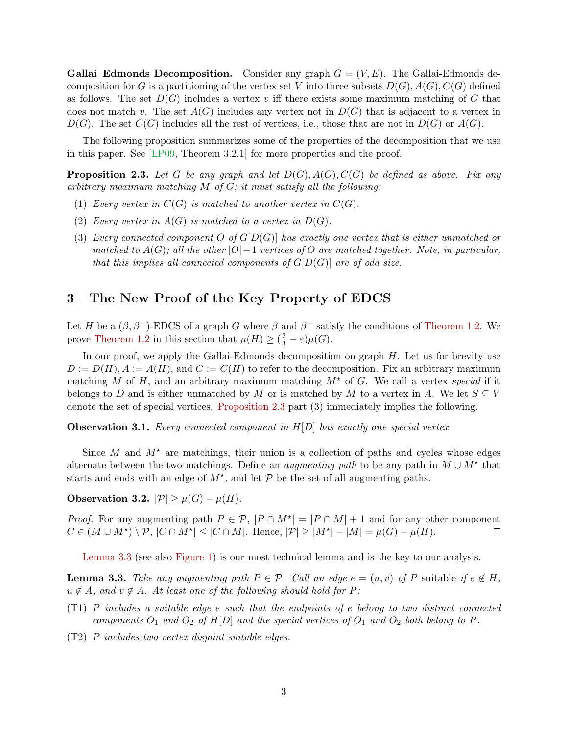**Gallai–Edmonds Decomposition.** Consider any graph  $G = (V, E)$ . The Gallai–Edmonds decomposition for G is a partitioning of the vertex set V into three subsets  $D(G)$ ,  $A(G)$ ,  $C(G)$  defined as follows. The set  $D(G)$  includes a vertex v iff there exists some maximum matching of G that does not match v. The set  $A(G)$  includes any vertex not in  $D(G)$  that is adjacent to a vertex in  $D(G)$ . The set  $C(G)$  includes all the rest of vertices, i.e., those that are not in  $D(G)$  or  $A(G)$ .

The following proposition summarizes some of the properties of the decomposition that we use in this paper. See [\[LP09,](#page-9-8) Theorem 3.2.1] for more properties and the proof.

<span id="page-3-0"></span>**Proposition 2.3.** Let G be any graph and let  $D(G)$ ,  $A(G)$ ,  $C(G)$  be defined as above. Fix any arbitrary maximum matching  $M$  of  $G$ ; it must satisfy all the following:

- (1) Every vertex in  $C(G)$  is matched to another vertex in  $C(G)$ .
- (2) Every vertex in  $A(G)$  is matched to a vertex in  $D(G)$ .
- (3) Every connected component O of  $G[D(G)]$  has exactly one vertex that is either unmatched or matched to  $A(G)$ ; all the other  $|O|-1$  vertices of O are matched together. Note, in particular, that this implies all connected components of  $G[D(G)]$  are of odd size.

#### 3 The New Proof of the Key Property of EDCS

Let H be a  $(\beta, \beta^-)$ -EDCS of a graph G where  $\beta$  and  $\beta^-$  satisfy the conditions of [Theorem 1.2.](#page-2-0) We prove [Theorem 1.2](#page-2-0) in this section that  $\mu(H) \geq (\frac{2}{3} - \varepsilon)\mu(G)$ .

In our proof, we apply the Gallai-Edmonds decomposition on graph  $H$ . Let us for brevity use  $D := D(H)$ ,  $A := A(H)$ , and  $C := C(H)$  to refer to the decomposition. Fix an arbitrary maximum matching M of H, and an arbitrary maximum matching  $M^*$  of G. We call a vertex *special* if it belongs to D and is either unmatched by M or is matched by M to a vertex in A. We let  $S \subseteq V$ denote the set of special vertices. [Proposition 2.3](#page-3-0) part (3) immediately implies the following.

<span id="page-3-2"></span>**Observation 3.1.** Every connected component in  $H[D]$  has exactly one special vertex.

Since M and  $M^*$  are matchings, their union is a collection of paths and cycles whose edges alternate between the two matchings. Define an *augmenting path* to be any path in  $M \cup M^*$  that starts and ends with an edge of  $M^*$ , and let  $\mathcal P$  be the set of all augmenting paths.

<span id="page-3-3"></span>Observation 3.2.  $|\mathcal{P}| \geq \mu(G) - \mu(H)$ .

*Proof.* For any augmenting path  $P \in \mathcal{P}$ ,  $|P \cap M^{\star}| = |P \cap M| + 1$  and for any other component  $C \in (M \cup M^{\star}) \setminus \mathcal{P}, |C \cap M^{\star}| \leq |C \cap M|$ . Hence,  $|\mathcal{P}| \geq |M^{\star}| - |M| = \mu(G) - \mu(H)$ .  $\Box$ 

[Lemma 3.3](#page-3-1) (see also [Figure 1\)](#page-4-0) is our most technical lemma and is the key to our analysis.

<span id="page-3-1"></span>**Lemma 3.3.** Take any augmenting path  $P \in \mathcal{P}$ . Call an edge  $e = (u, v)$  of P suitable if  $e \notin H$ ,  $u \notin A$ , and  $v \notin A$ . At least one of the following should hold for P:

- (T1) P includes a suitable edge e such that the endpoints of e belong to two distinct connected components  $O_1$  and  $O_2$  of  $H[D]$  and the special vertices of  $O_1$  and  $O_2$  both belong to P.
- (T2) P includes two vertex disjoint suitable edges.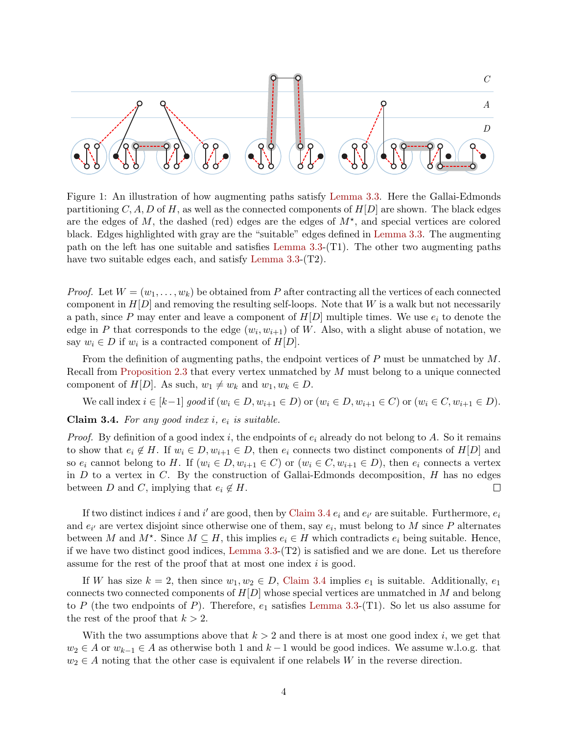<span id="page-4-0"></span>

Figure 1: An illustration of how augmenting paths satisfy [Lemma 3.3.](#page-3-1) Here the Gallai-Edmonds partitioning C, A, D of H, as well as the connected components of  $H[D]$  are shown. The black edges are the edges of  $M$ , the dashed (red) edges are the edges of  $M^*$ , and special vertices are colored black. Edges highlighted with gray are the "suitable" edges defined in [Lemma 3.3.](#page-3-1) The augmenting path on the left has one suitable and satisfies [Lemma 3.3-](#page-3-1)(T1). The other two augmenting paths have two suitable edges each, and satisfy [Lemma 3.3-](#page-3-1)(T2).

*Proof.* Let  $W = (w_1, \ldots, w_k)$  be obtained from P after contracting all the vertices of each connected component in  $H[D]$  and removing the resulting self-loops. Note that W is a walk but not necessarily a path, since P may enter and leave a component of  $H[D]$  multiple times. We use  $e_i$  to denote the edge in P that corresponds to the edge  $(w_i, w_{i+1})$  of W. Also, with a slight abuse of notation, we say  $w_i \in D$  if  $w_i$  is a contracted component of  $H[D]$ .

From the definition of augmenting paths, the endpoint vertices of P must be unmatched by M. Recall from [Proposition 2.3](#page-3-0) that every vertex unmatched by M must belong to a unique connected component of  $H[D]$ . As such,  $w_1 \neq w_k$  and  $w_1, w_k \in D$ .

We call index  $i \in [k-1]$  good if  $(w_i \in D, w_{i+1} \in D)$  or  $(w_i \in D, w_{i+1} \in C)$  or  $(w_i \in C, w_{i+1} \in D)$ .

<span id="page-4-1"></span>Claim 3.4. For any good index  $i, e_i$  is suitable.

*Proof.* By definition of a good index i, the endpoints of  $e_i$  already do not belong to A. So it remains to show that  $e_i \notin H$ . If  $w_i \in D$ ,  $w_{i+1} \in D$ , then  $e_i$  connects two distinct components of  $H[D]$  and so  $e_i$  cannot belong to H. If  $(w_i \in D, w_{i+1} \in C)$  or  $(w_i \in C, w_{i+1} \in D)$ , then  $e_i$  connects a vertex in  $D$  to a vertex in  $C$ . By the construction of Gallai-Edmonds decomposition,  $H$  has no edges between D and C, implying that  $e_i \notin H$ .  $\Box$ 

If two distinct indices i and i' are good, then by [Claim 3.4](#page-4-1)  $e_i$  and  $e_{i'}$  are suitable. Furthermore,  $e_i$ and  $e_{i'}$  are vertex disjoint since otherwise one of them, say  $e_i$ , must belong to M since P alternates between M and  $M^*$ . Since  $M \subseteq H$ , this implies  $e_i \in H$  which contradicts  $e_i$  being suitable. Hence, if we have two distinct good indices, [Lemma 3.3-](#page-3-1)(T2) is satisfied and we are done. Let us therefore assume for the rest of the proof that at most one index i is good.

If W has size  $k = 2$ , then since  $w_1, w_2 \in D$ , [Claim 3.4](#page-4-1) implies  $e_1$  is suitable. Additionally,  $e_1$ connects two connected components of  $H[D]$  whose special vertices are unmatched in M and belong to P (the two endpoints of P). Therefore,  $e_1$  satisfies [Lemma 3.3-](#page-3-1)(T1). So let us also assume for the rest of the proof that  $k > 2$ .

With the two assumptions above that  $k > 2$  and there is at most one good index i, we get that  $w_2 \in A$  or  $w_{k-1} \in A$  as otherwise both 1 and  $k-1$  would be good indices. We assume w.l.o.g. that  $w_2 \in A$  noting that the other case is equivalent if one relabels W in the reverse direction.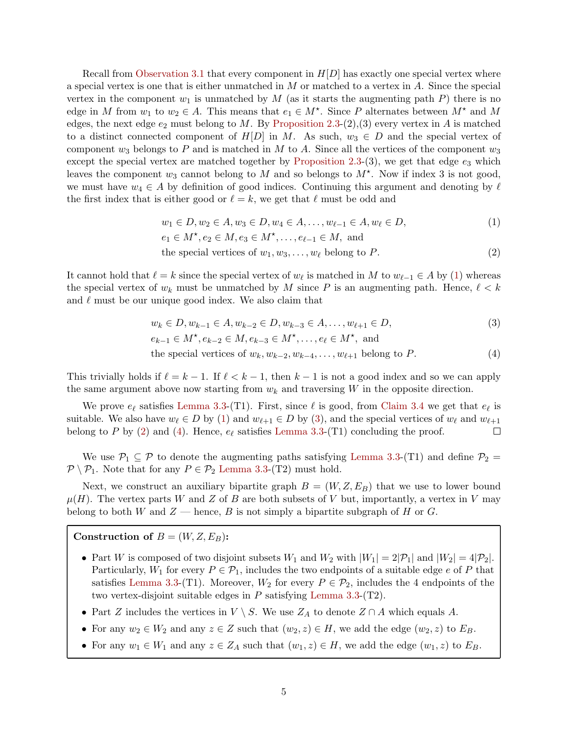Recall from [Observation 3.1](#page-3-2) that every component in  $H[D]$  has exactly one special vertex where a special vertex is one that is either unmatched in  $M$  or matched to a vertex in  $A$ . Since the special vertex in the component  $w_1$  is unmatched by M (as it starts the augmenting path P) there is no edge in M from  $w_1$  to  $w_2 \in A$ . This means that  $e_1 \in M^*$ . Since P alternates between  $M^*$  and M edges, the next edge  $e_2$  must belong to M. By [Proposition 2.3-](#page-3-0)(2),(3) every vertex in A is matched to a distinct connected component of  $H[D]$  in M. As such,  $w_3 \in D$  and the special vertex of component  $w_3$  belongs to P and is matched in M to A. Since all the vertices of the component  $w_3$ except the special vertex are matched together by [Proposition 2.3-](#page-3-0)(3), we get that edge  $e_3$  which leaves the component  $w_3$  cannot belong to M and so belongs to  $M^*$ . Now if index 3 is not good, we must have  $w_4 \in A$  by definition of good indices. Continuing this argument and denoting by  $\ell$ the first index that is either good or  $\ell = k$ , we get that  $\ell$  must be odd and

<span id="page-5-2"></span><span id="page-5-0"></span>
$$
w_1 \in D, w_2 \in A, w_3 \in D, w_4 \in A, \dots, w_{\ell-1} \in A, w_{\ell} \in D,
$$
  
\n
$$
e_1 \in M^{\star}, e_2 \in M, e_3 \in M^{\star}, \dots, e_{\ell-1} \in M, \text{ and}
$$
  
\nthe special vertices of  $w_1, w_3, \dots, w_{\ell}$  belong to  $P$ . (2)

It cannot hold that  $\ell = k$  since the special vertex of  $w_{\ell}$  is matched in M to  $w_{\ell-1} \in A$  by [\(1\)](#page-5-0) whereas the special vertex of  $w_k$  must be unmatched by M since P is an augmenting path. Hence,  $\ell < k$ and  $\ell$  must be our unique good index. We also claim that

<span id="page-5-3"></span><span id="page-5-1"></span>
$$
w_k \in D, w_{k-1} \in A, w_{k-2} \in D, w_{k-3} \in A, ..., w_{\ell+1} \in D,
$$
  
\n
$$
e_{k-1} \in M^{\star}, e_{k-2} \in M, e_{k-3} \in M^{\star}, ..., e_{\ell} \in M^{\star}, \text{ and}
$$
  
\nthe special vertices of  $w_k, w_{k-2}, w_{k-4}, ..., w_{\ell+1}$  belong to  $P.$  (4)

This trivially holds if  $\ell = k - 1$ . If  $\ell < k - 1$ , then  $k - 1$  is not a good index and so we can apply the same argument above now starting from  $w_k$  and traversing W in the opposite direction.

We prove  $e_{\ell}$  satisfies [Lemma 3.3-](#page-3-1)(T1). First, since  $\ell$  is good, from [Claim 3.4](#page-4-1) we get that  $e_{\ell}$  is suitable. We also have  $w_\ell \in D$  by [\(1\)](#page-5-0) and  $w_{\ell+1} \in D$  by [\(3\)](#page-5-1), and the special vertices of  $w_\ell$  and  $w_{\ell+1}$ belong to P by [\(2\)](#page-5-2) and [\(4\)](#page-5-3). Hence,  $e_{\ell}$  satisfies [Lemma 3.3-](#page-3-1)(T1) concluding the proof.  $\Box$ 

We use  $P_1 \subseteq P$  to denote the augmenting paths satisfying [Lemma 3.3-](#page-3-1)(T1) and define  $P_2 =$  $P \setminus P_1$ . Note that for any  $P \in \mathcal{P}_2$  [Lemma 3.3-](#page-3-1)(T2) must hold.

Next, we construct an auxiliary bipartite graph  $B = (W, Z, E_B)$  that we use to lower bound  $\mu(H)$ . The vertex parts W and Z of B are both subsets of V but, importantly, a vertex in V may belong to both W and  $Z$  — hence, B is not simply a bipartite subgraph of H or G.

Construction of  $B = (W, Z, E_B)$ :

- Part W is composed of two disjoint subsets  $W_1$  and  $W_2$  with  $|W_1| = 2|\mathcal{P}_1|$  and  $|W_2| = 4|\mathcal{P}_2|$ . Particularly,  $W_1$  for every  $P \in \mathcal{P}_1$ , includes the two endpoints of a suitable edge e of P that satisfies [Lemma 3.3-](#page-3-1)(T1). Moreover,  $W_2$  for every  $P \in \mathcal{P}_2$ , includes the 4 endpoints of the two vertex-disjoint suitable edges in  $P$  satisfying [Lemma 3.3-](#page-3-1)(T2).
- Part Z includes the vertices in  $V \setminus S$ . We use  $Z_A$  to denote  $Z \cap A$  which equals A.
- For any  $w_2 \in W_2$  and any  $z \in Z$  such that  $(w_2, z) \in H$ , we add the edge  $(w_2, z)$  to  $E_B$ .
- For any  $w_1 \in W_1$  and any  $z \in Z_A$  such that  $(w_1, z) \in H$ , we add the edge  $(w_1, z)$  to  $E_B$ .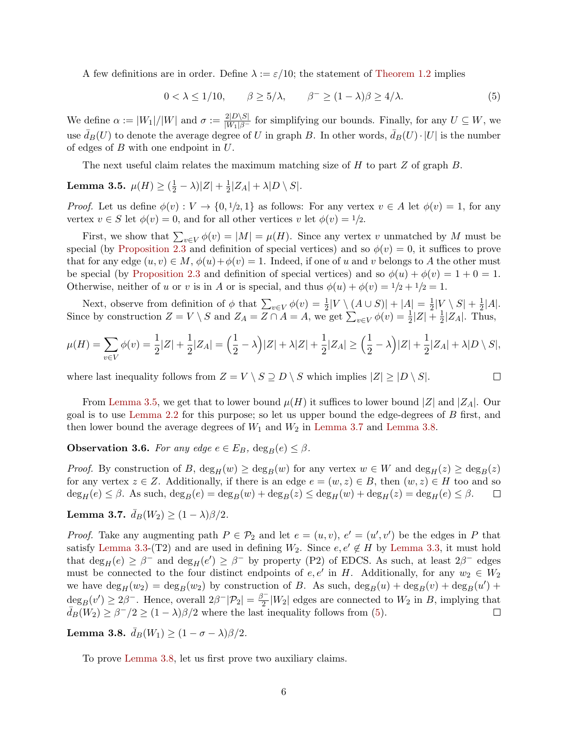A few definitions are in order. Define  $\lambda := \varepsilon/10$ ; the statement of [Theorem 1.2](#page-2-0) implies

<span id="page-6-3"></span>
$$
0 < \lambda \le 1/10, \qquad \beta \ge 5/\lambda, \qquad \beta^- \ge (1-\lambda)\beta \ge 4/\lambda. \tag{5}
$$

We define  $\alpha := |W_1|/|W|$  and  $\sigma := \frac{2|D\setminus S|}{|W_1|\beta}$  for simplifying our bounds. Finally, for any  $U \subseteq W$ , we use  $\bar{d}_B(U)$  to denote the average degree of U in graph B. In other words,  $\bar{d}_B(U) \cdot |U|$  is the number of edges of  $B$  with one endpoint in  $U$ .

The next useful claim relates the maximum matching size of  $H$  to part  $Z$  of graph  $B$ .

<span id="page-6-0"></span>Lemma 3.5.  $\mu(H) \geq (\frac{1}{2} - \lambda)|Z| + \frac{1}{2}$  $\frac{1}{2}|Z_A| + \lambda |D \setminus S|.$ 

*Proof.* Let us define  $\phi(v) : V \to \{0, 1/2, 1\}$  as follows: For any vertex  $v \in A$  let  $\phi(v) = 1$ , for any vertex  $v \in S$  let  $\phi(v) = 0$ , and for all other vertices v let  $\phi(v) = 1/2$ .

First, we show that  $\sum_{v \in V} \phi(v) = |M| = \mu(H)$ . Since any vertex v unmatched by M must be special (by [Proposition 2.3](#page-3-0) and definition of special vertices) and so  $\phi(v) = 0$ , it suffices to prove that for any edge  $(u, v) \in M$ ,  $\phi(u) + \phi(v) = 1$ . Indeed, if one of u and v belongs to A the other must be special (by [Proposition 2.3](#page-3-0) and definition of special vertices) and so  $\phi(u) + \phi(v) = 1 + 0 = 1$ . Otherwise, neither of u or v is in A or is special, and thus  $\phi(u) + \phi(v) = 1/2 + 1/2 = 1$ .

Next, observe from definition of  $\phi$  that  $\sum_{v \in V} \phi(v) = \frac{1}{2} |V \setminus (A \cup S)| + |A| = \frac{1}{2}$  $\frac{1}{2}|V\setminus S|+\frac{1}{2}$  $\frac{1}{2}|A|.$ Since by construction  $Z = V \setminus S$  and  $Z_A = \overline{Z \cap A} = A$ , we get  $\sum_{v \in V} \phi(v) = \frac{1}{2} |Z| + \frac{1}{2}$  $\frac{1}{2}|Z_A|$ . Thus,

$$
\mu(H) = \sum_{v \in V} \phi(v) = \frac{1}{2}|Z| + \frac{1}{2}|Z_A| = \left(\frac{1}{2} - \lambda\right)|Z| + \lambda|Z| + \frac{1}{2}|Z_A| \ge \left(\frac{1}{2} - \lambda\right)|Z| + \frac{1}{2}|Z_A| + \lambda|D \setminus S|,
$$

 $\Box$ 

where last inequality follows from  $Z = V \setminus S \supseteq D \setminus S$  which implies  $|Z| \geq |D \setminus S|$ .

From [Lemma 3.5,](#page-6-0) we get that to lower bound  $\mu(H)$  it suffices to lower bound  $|Z|$  and  $|Z_A|$ . Our goal is to use [Lemma 2.2](#page-2-1) for this purpose; so let us upper bound the edge-degrees of B first, and then lower bound the average degrees of  $W_1$  and  $W_2$  in [Lemma 3.7](#page-6-1) and [Lemma 3.8.](#page-6-2)

<span id="page-6-5"></span>**Observation 3.6.** For any edge  $e \in E_B$ ,  $deg_B(e) \leq \beta$ .

*Proof.* By construction of B,  $\deg_H(w) \geq \deg_B(w)$  for any vertex  $w \in W$  and  $\deg_H(z) \geq \deg_B(z)$ for any vertex  $z \in Z$ . Additionally, if there is an edge  $e = (w, z) \in B$ , then  $(w, z) \in H$  too and so  $\deg_H(e) \leq \beta$ . As such,  $\deg_B(e) = \deg_B(w) + \deg_B(z) \leq \deg_H(w) + \deg_H(z) = \deg_H(e) \leq \beta$ .  $\Box$ 

<span id="page-6-1"></span>Lemma 3.7.  $\bar{d}_B(W_2) \geq (1 - \lambda)\beta/2$ .

*Proof.* Take any augmenting path  $P \in \mathcal{P}_2$  and let  $e = (u, v)$ ,  $e' = (u', v')$  be the edges in P that satisfy [Lemma 3.3-](#page-3-1)(T2) and are used in defining  $W_2$ . Since  $e, e' \notin H$  by [Lemma 3.3,](#page-3-1) it must hold that  $\deg_H(e) \geq \beta^-$  and  $\deg_H(e') \geq \beta^-$  by property (P2) of EDCS. As such, at least  $2\beta^-$  edges must be connected to the four distinct endpoints of  $e, e'$  in H. Additionally, for any  $w_2 \in W_2$ we have  $\deg_H(w_2) = \deg_B(w_2)$  by construction of B. As such,  $\deg_B(u) + \deg_B(v) + \deg_B(u')$  $deg_B(v') \geq 2\beta^-$ . Hence, overall  $2\beta^-|\mathcal{P}_2| = \frac{\beta^-}{2}$  $\frac{1}{2}|W_2|$  edges are connected to  $W_2$  in B, implying that  $\bar{d}_B(\overline{W_2}) \geq \beta^-/2 \geq (1-\lambda)\beta/2$  where the last inequality follows from [\(5\)](#page-6-3).  $\Box$ 

<span id="page-6-2"></span>Lemma 3.8.  $\bar{d}_B(W_1) \geq (1 - \sigma - \lambda)\beta/2$ .

<span id="page-6-4"></span>To prove [Lemma 3.8,](#page-6-2) let us first prove two auxiliary claims.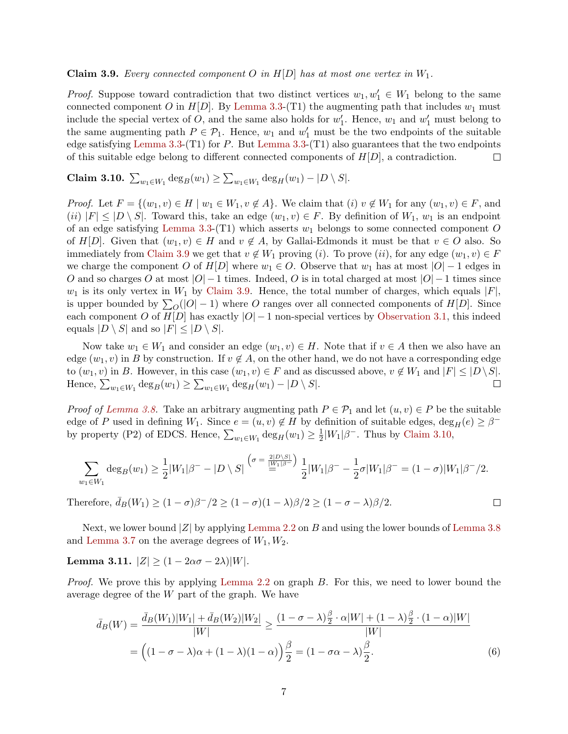**Claim 3.9.** Every connected component O in  $H[D]$  has at most one vertex in  $W_1$ .

*Proof.* Suppose toward contradiction that two distinct vertices  $w_1, w'_1 \in W_1$  belong to the same connected component O in  $H[D]$ . By [Lemma 3.3-](#page-3-1)(T1) the augmenting path that includes  $w_1$  must include the special vertex of O, and the same also holds for  $w'_1$ . Hence,  $w_1$  and  $w'_1$  must belong to the same augmenting path  $P \in \mathcal{P}_1$ . Hence,  $w_1$  and  $w'_1$  must be the two endpoints of the suitable edge satisfying [Lemma 3.3-](#page-3-1)(T1) for P. But Lemma 3.3-(T1) also guarantees that the two endpoints of this suitable edge belong to different connected components of  $H[D]$ , a contradiction.  $\Box$ 

<span id="page-7-0"></span>**Claim 3.10.** 
$$
\sum_{w_1 \in W_1} \deg_B(w_1) \ge \sum_{w_1 \in W_1} \deg_H(w_1) - |D \setminus S|.
$$

*Proof.* Let  $F = \{(w_1, v) \in H \mid w_1 \in W_1, v \notin A\}$ . We claim that  $(i)$   $v \notin W_1$  for any  $(w_1, v) \in F$ , and  $(ii)$   $|F| \leq |D \setminus S|$ . Toward this, take an edge  $(w_1, v) \in F$ . By definition of  $W_1$ ,  $w_1$  is an endpoint of an edge satisfying [Lemma 3.3-](#page-3-1)(T1) which asserts  $w_1$  belongs to some connected component O of H[D]. Given that  $(w_1, v) \in H$  and  $v \notin A$ , by Gallai-Edmonds it must be that  $v \in O$  also. So immediately from [Claim 3.9](#page-6-4) we get that  $v \notin W_1$  proving (i). To prove (ii), for any edge  $(w_1, v) \in F$ we charge the component O of  $H[D]$  where  $w_1 \in O$ . Observe that  $w_1$  has at most  $|O|-1$  edges in O and so charges O at most  $|O| - 1$  times. Indeed, O is in total charged at most  $|O| - 1$  times since  $w_1$  is its only vertex in  $W_1$  by [Claim 3.9.](#page-6-4) Hence, the total number of charges, which equals  $|F|$ , is upper bounded by  $\sum_{O}(|O|-1)$  where O ranges over all connected components of  $H[D]$ . Since each component O of  $H[D]$  has exactly  $|O|-1$  non-special vertices by [Observation 3.1,](#page-3-2) this indeed equals  $|D \setminus S|$  and so  $|F| \leq |D \setminus S|$ .

Now take  $w_1 \in W_1$  and consider an edge  $(w_1, v) \in H$ . Note that if  $v \in A$  then we also have an edge  $(w_1, v)$  in B by construction. If  $v \notin A$ , on the other hand, we do not have a corresponding edge to  $(w_1, v)$  in B. However, in this case  $(w_1, v) \in F$  and as discussed above,  $v \notin W_1$  and  $|F| \leq |D \setminus S|$ . Hence,  $\sum_{w_1 \in W_1} \deg_B(w_1) \ge \sum_{w_1 \in W_1} \deg_H(w_1) - |D \setminus S|$ .  $\Box$ 

*Proof of [Lemma 3.8.](#page-6-2)* Take an arbitrary augmenting path  $P \in \mathcal{P}_1$  and let  $(u, v) \in P$  be the suitable edge of P used in defining  $W_1$ . Since  $e = (u, v) \notin H$  by definition of suitable edges,  $\deg_H(e) \geq \beta^{-1}$ by property (P2) of EDCS. Hence,  $\sum_{w_1 \in W_1} \deg_H(w_1) \geq \frac{1}{2}$  $\frac{1}{2}|W_1|\beta^-$ . Thus by [Claim 3.10,](#page-7-0)

$$
\sum_{w_1 \in W_1} \deg_B(w_1) \ge \frac{1}{2} |W_1|\beta^- - |D \setminus S| \stackrel{\left(\sigma = \frac{2|D \setminus S|}{|W_1|\beta^-}\right)}{\equiv} \frac{1}{2} |W_1|\beta^- - \frac{1}{2}\sigma |W_1|\beta^- = (1 - \sigma)|W_1|\beta^-/2.
$$

<span id="page-7-1"></span> $\Box$ 

Therefore,  $\bar{d}_B(W_1) \ge (1 - \sigma)\beta^{-1}/2 \ge (1 - \sigma)(1 - \lambda)\beta/2 \ge (1 - \sigma - \lambda)\beta/2$ .

Next, we lower bound  $|Z|$  by applying [Lemma 2.2](#page-2-1) on B and using the lower bounds of [Lemma 3.8](#page-6-2) and [Lemma 3.7](#page-6-1) on the average degrees of  $W_1, W_2$ .

<span id="page-7-2"></span>Lemma 3.11.  $|Z| \ge (1 - 2\alpha\sigma - 2\lambda)|W|$ .

Proof. We prove this by applying [Lemma 2.2](#page-2-1) on graph B. For this, we need to lower bound the average degree of the W part of the graph. We have

$$
\bar{d}_B(W) = \frac{\bar{d}_B(W_1)|W_1| + \bar{d}_B(W_2)|W_2|}{|W|} \ge \frac{(1 - \sigma - \lambda)\frac{\beta}{2} \cdot \alpha|W| + (1 - \lambda)\frac{\beta}{2} \cdot (1 - \alpha)|W|}{|W|}
$$

$$
= \left((1 - \sigma - \lambda)\alpha + (1 - \lambda)(1 - \alpha)\right)\frac{\beta}{2} = (1 - \sigma\alpha - \lambda)\frac{\beta}{2}.
$$
(6)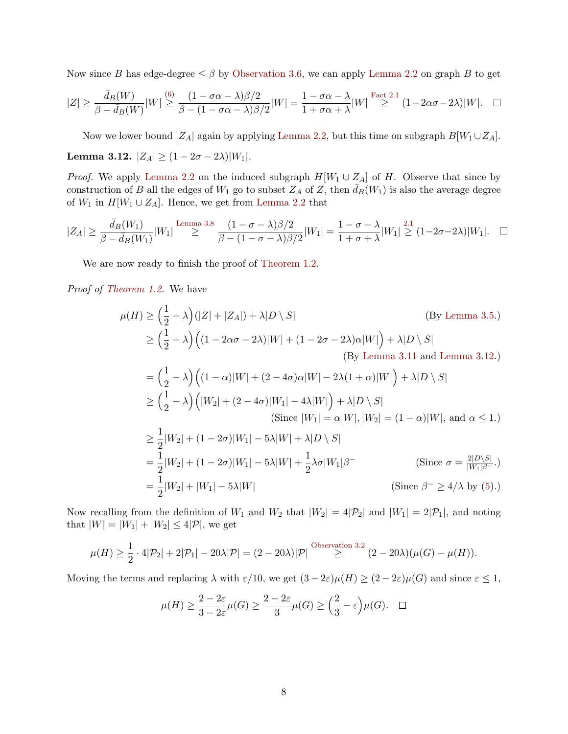Now since B has edge-degree  $\leq \beta$  by [Observation 3.6,](#page-6-5) we can apply [Lemma 2.2](#page-2-1) on graph B to get

$$
|Z| \ge \frac{\bar{d}_B(W)}{\beta - \bar{d}_B(W)}|W| \stackrel{(6)}{\ge} \frac{(1 - \sigma\alpha - \lambda)\beta/2}{\beta - (1 - \sigma\alpha - \lambda)\beta/2}|W| = \frac{1 - \sigma\alpha - \lambda}{1 + \sigma\alpha + \lambda}|W| \stackrel{\text{Fact 2.1}}{\ge} (1 - 2\alpha\sigma - 2\lambda)|W|. \quad \Box
$$

<span id="page-8-0"></span>Now we lower bound  $|Z_A|$  again by applying [Lemma 2.2,](#page-2-1) but this time on subgraph  $B[W_1 \cup Z_A]$ . Lemma 3.12.  $|Z_A| \ge (1 - 2\sigma - 2\lambda)|W_1|$ .

*Proof.* We apply [Lemma 2.2](#page-2-1) on the induced subgraph  $H[W_1 \cup Z_A]$  of H. Observe that since by construction of B all the edges of  $W_1$  go to subset  $Z_A$  of Z, then  $\bar{d}_B(W_1)$  is also the average degree of  $W_1$  in  $H[W_1 \cup Z_A]$ . Hence, we get from [Lemma 2.2](#page-2-1) that

$$
|Z_A| \ge \frac{\bar{d}_B(W_1)}{\beta - \bar{d}_B(W_1)}|W_1| \stackrel{\text{Lemma 3.8}}{\ge} \frac{(1 - \sigma - \lambda)\beta/2}{\beta - (1 - \sigma - \lambda)\beta/2}|W_1| = \frac{1 - \sigma - \lambda}{1 + \sigma + \lambda}|W_1| \stackrel{2.1}{\ge} (1 - 2\sigma - 2\lambda)|W_1|.
$$

We are now ready to finish the proof of [Theorem 1.2.](#page-2-0)

Proof of [Theorem 1.2.](#page-2-0) We have

$$
\mu(H) \ge \left(\frac{1}{2} - \lambda\right) (|Z| + |Z_A|) + \lambda |D \setminus S| \qquad \text{(By Lemma 3.5.)}
$$
\n
$$
\ge \left(\frac{1}{2} - \lambda\right) \left( (1 - 2\alpha\sigma - 2\lambda)|W| + (1 - 2\sigma - 2\lambda)\alpha|W| \right) + \lambda |D \setminus S| \qquad \text{(By Lemma 3.11 and Lemma 3.12.)}
$$
\n
$$
= \left(\frac{1}{2} - \lambda\right) \left( (1 - \alpha)|W| + (2 - 4\sigma)\alpha|W| - 2\lambda(1 + \alpha)|W| \right) + \lambda |D \setminus S|
$$
\n
$$
\ge \left(\frac{1}{2} - \lambda\right) \left( |W_2| + (2 - 4\sigma)|W_1| - 4\lambda|W| \right) + \lambda |D \setminus S| \qquad \text{(Since } |W_1| = \alpha|W|, |W_2| = (1 - \alpha)|W|, \text{ and } \alpha \le 1.)
$$
\n
$$
\ge \frac{1}{2} |W_2| + (1 - 2\sigma)|W_1| - 5\lambda|W| + \lambda|D \setminus S|
$$
\n
$$
= \frac{1}{2} |W_2| + (1 - 2\sigma)|W_1| - 5\lambda|W| + \frac{1}{2}\lambda\sigma|W_1|\beta| \qquad \text{(Since } \sigma = \frac{2|D \setminus S|}{|W_1|\beta - 1}\text{)} \qquad \text{(Since } \beta^- \ge 4/\lambda \text{ by (5).)}
$$

Now recalling from the definition of  $W_1$  and  $W_2$  that  $|W_2| = 4|\mathcal{P}_2|$  and  $|W_1| = 2|\mathcal{P}_1|$ , and noting that  $|W| = |W_1| + |W_2| \le 4|\mathcal{P}|$ , we get

$$
\mu(H) \ge \frac{1}{2} \cdot 4|\mathcal{P}_2| + 2|\mathcal{P}_1| - 20\lambda|\mathcal{P}| = (2 - 20\lambda)|\mathcal{P}| \stackrel{\text{Observation 3.2}}{\ge} (2 - 20\lambda)(\mu(G) - \mu(H)).
$$

Moving the terms and replacing  $\lambda$  with  $\varepsilon/10$ , we get  $(3-2\varepsilon)\mu(H) \ge (2-2\varepsilon)\mu(G)$  and since  $\varepsilon \le 1$ ,

$$
\mu(H) \ge \frac{2 - 2\varepsilon}{3 - 2\varepsilon}\mu(G) \ge \frac{2 - 2\varepsilon}{3}\mu(G) \ge \left(\frac{2}{3} - \varepsilon\right)\mu(G). \quad \Box
$$